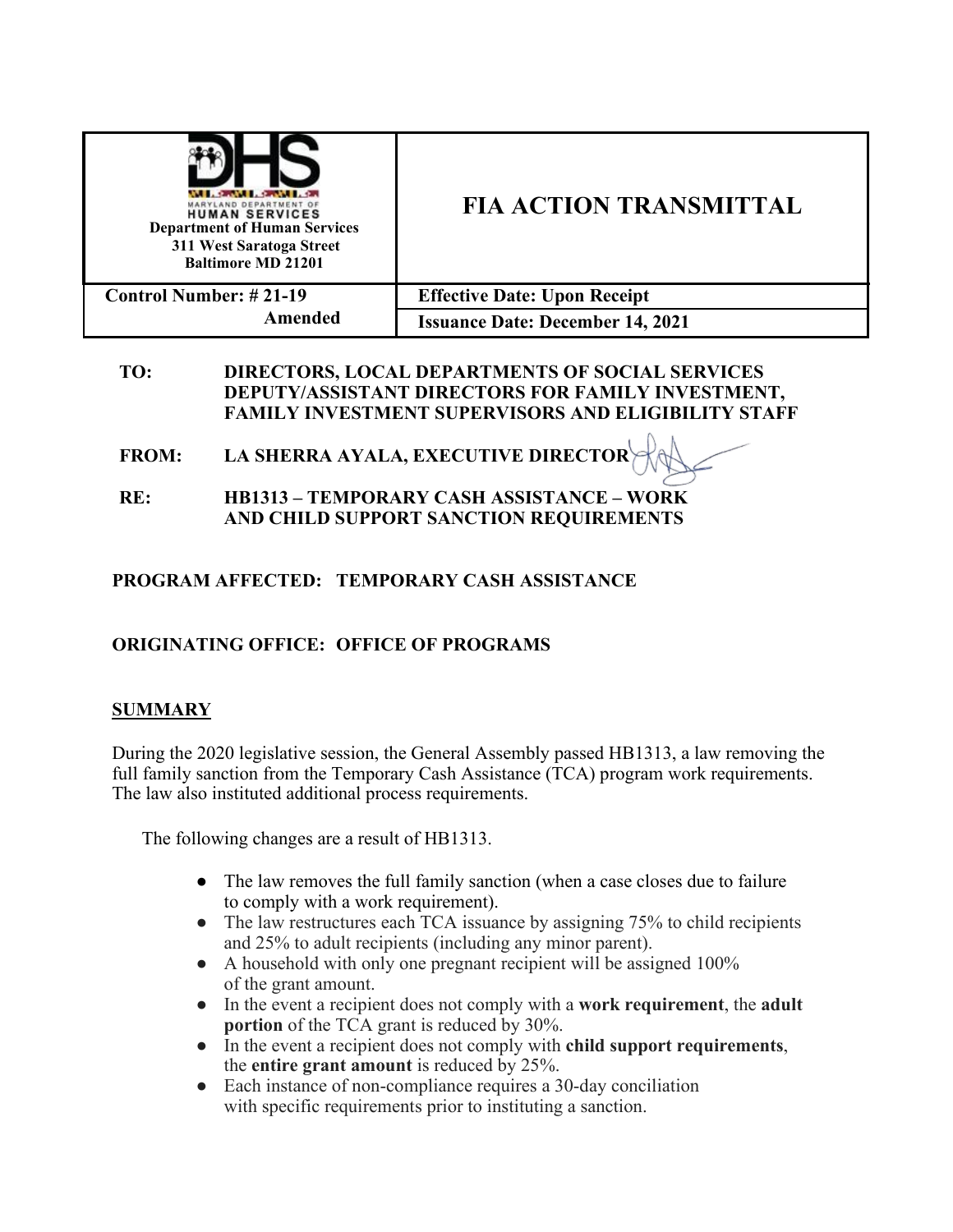| RYLAND DEPARTMENT OF<br><b>HUMAN SERVICES</b><br><b>Department of Human Services</b><br>311 West Saratoga Street<br><b>Baltimore MD 21201</b> | <b>FIA ACTION TRANSMITTAL</b>           |
|-----------------------------------------------------------------------------------------------------------------------------------------------|-----------------------------------------|
| <b>Control Number: #21-19</b><br>Amended                                                                                                      | <b>Effective Date: Upon Receipt</b>     |
|                                                                                                                                               | <b>Issuance Date: December 14, 2021</b> |

## **TO: DIRECTORS, LOCAL DEPARTMENTS OF SOCIAL SERVICES DEPUTY/ASSISTANT DIRECTORS FOR FAMILY INVESTMENT, FAMILY INVESTMENT SUPERVISORS AND ELIGIBILITY STAFF**

- **FROM: LA SHERRA AYALA, EXECUTIVE DIRECTOR**
- **RE: HB1313 TEMPORARY CASH ASSISTANCE WORK AND CHILD SUPPORT SANCTION REQUIREMENTS**

# **PROGRAM AFFECTED: TEMPORARY CASH ASSISTANCE**

# **ORIGINATING OFFICE: OFFICE OF PROGRAMS**

## **SUMMARY**

During the 2020 legislative session, the General Assembly passed HB1313, a law removing the full family sanction from the Temporary Cash Assistance (TCA) program work requirements. The law also instituted additional process requirements.

The following changes are a result of HB1313.

- The law removes the full family sanction (when a case closes due to failure to comply with a work requirement).
- The law restructures each TCA issuance by assigning 75% to child recipients and 25% to adult recipients (including any minor parent).
- A household with only one pregnant recipient will be assigned 100% of the grant amount.
- In the event a recipient does not comply with a **work requirement**, the **adult portion** of the TCA grant is reduced by 30%.
- In the event a recipient does not comply with **child support requirements**, the **entire grant amount** is reduced by 25%.
- Each instance of non-compliance requires a 30-day conciliation with specific requirements prior to instituting a sanction.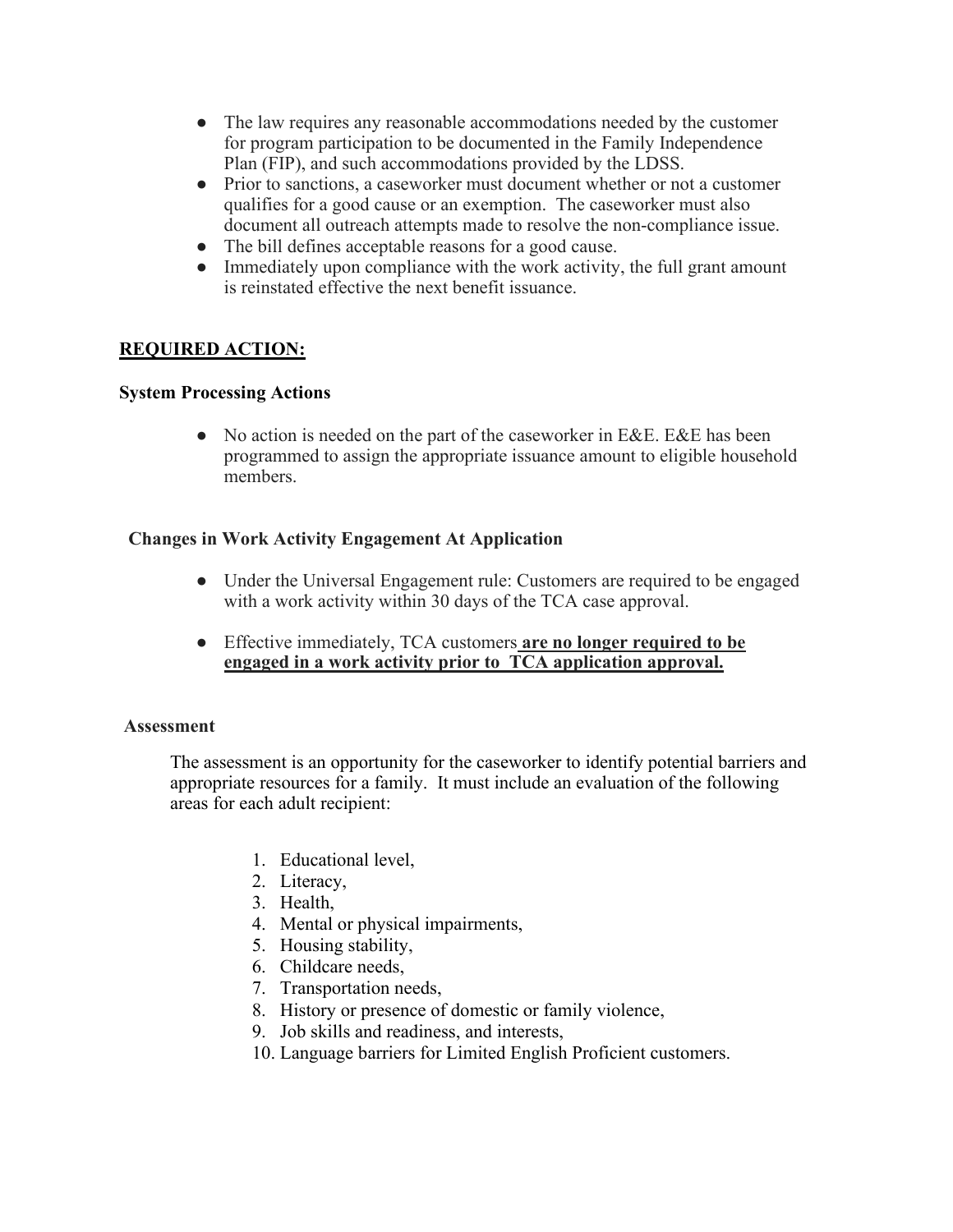- The law requires any reasonable accommodations needed by the customer for program participation to be documented in the Family Independence Plan (FIP), and such accommodations provided by the LDSS.
- Prior to sanctions, a caseworker must document whether or not a customer qualifies for a good cause or an exemption. The caseworker must also document all outreach attempts made to resolve the non-compliance issue.
- The bill defines acceptable reasons for a good cause.
- Immediately upon compliance with the work activity, the full grant amount is reinstated effective the next benefit issuance.

# **REQUIRED ACTION:**

## **System Processing Actions**

• No action is needed on the part of the caseworker in E&E. E&E has been programmed to assign the appropriate issuance amount to eligible household members.

## **Changes in Work Activity Engagement At Application**

- Under the Universal Engagement rule: Customers are required to be engaged with a work activity within 30 days of the TCA case approval.
- Effective immediately, TCA customers **are no longer required to be engaged in a work activity prior to TCA application approval.**

#### **Assessment**

The assessment is an opportunity for the caseworker to identify potential barriers and appropriate resources for a family. It must include an evaluation of the following areas for each adult recipient:

- 1. Educational level,
- 2. Literacy,
- 3. Health,
- 4. Mental or physical impairments,
- 5. Housing stability,
- 6. Childcare needs,
- 7. Transportation needs,
- 8. History or presence of domestic or family violence,
- 9. Job skills and readiness, and interests,
- 10. Language barriers for Limited English Proficient customers.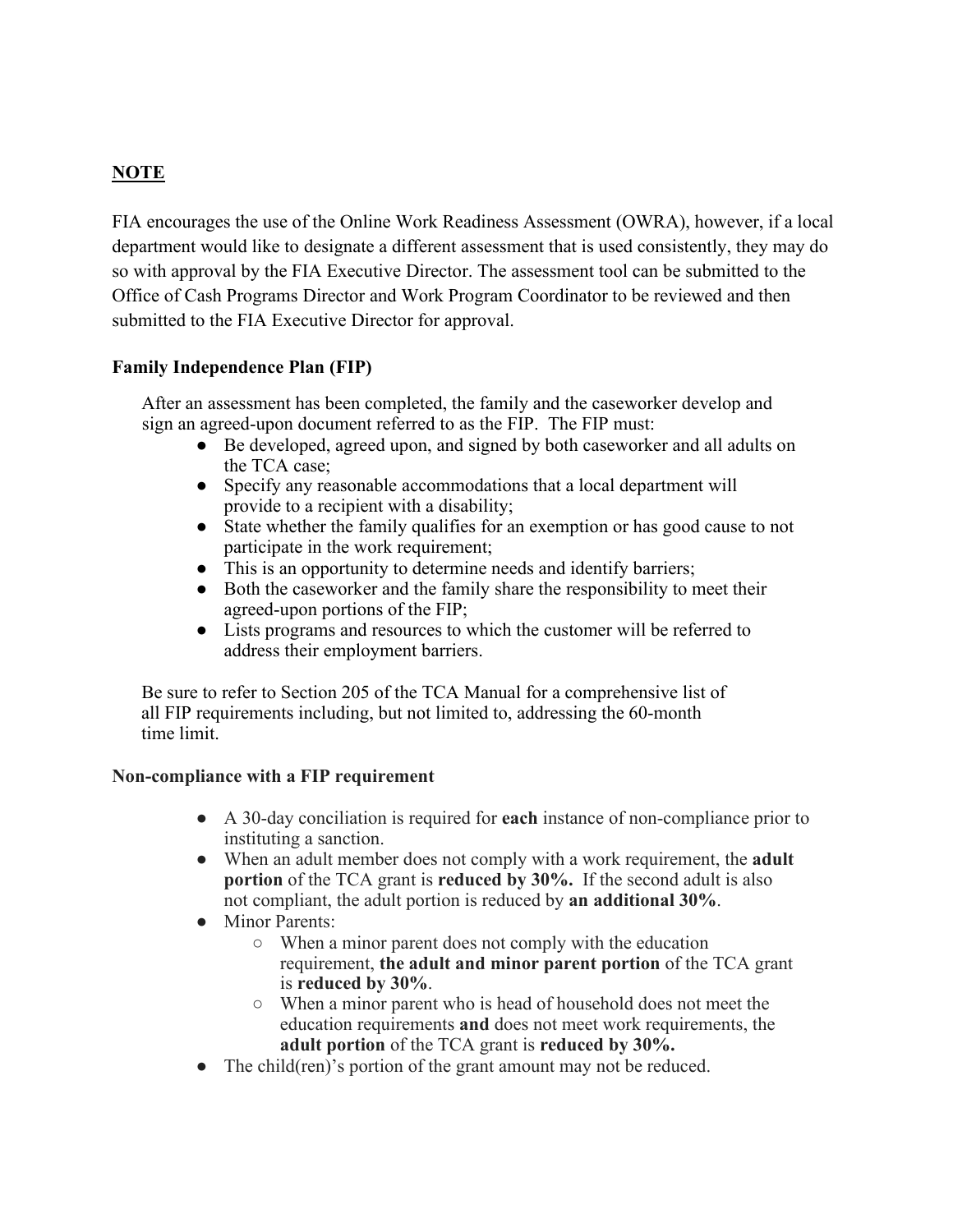# **NOTE**

FIA encourages the use of the Online Work Readiness Assessment (OWRA), however, if a local department would like to designate a different assessment that is used consistently, they may do so with approval by the FIA Executive Director. The assessment tool can be submitted to the Office of Cash Programs Director and Work Program Coordinator to be reviewed and then submitted to the FIA Executive Director for approval.

## **Family Independence Plan (FIP)**

After an assessment has been completed, the family and the caseworker develop and sign an agreed-upon document referred to as the FIP. The FIP must:

- Be developed, agreed upon, and signed by both caseworker and all adults on the TCA case;
- Specify any reasonable accommodations that a local department will provide to a recipient with a disability;
- State whether the family qualifies for an exemption or has good cause to not participate in the work requirement;
- This is an opportunity to determine needs and identify barriers;
- Both the caseworker and the family share the responsibility to meet their agreed-upon portions of the FIP;
- Lists programs and resources to which the customer will be referred to address their employment barriers.

Be sure to refer to Section 205 of the TCA Manual for a comprehensive list of all FIP requirements including, but not limited to, addressing the 60-month time limit.

#### **Non-compliance with a FIP requirement**

- A 30-day conciliation is required for **each** instance of non-compliance prior to instituting a sanction.
- When an adult member does not comply with a work requirement, the **adult portion** of the TCA grant is **reduced by 30%.** If the second adult is also not compliant, the adult portion is reduced by **an additional 30%**.
- Minor Parents:
	- When a minor parent does not comply with the education requirement, **the adult and minor parent portion** of the TCA grant is **reduced by 30%**.
	- When a minor parent who is head of household does not meet the education requirements **and** does not meet work requirements, the **adult portion** of the TCA grant is **reduced by 30%.**
- The child(ren)'s portion of the grant amount may not be reduced.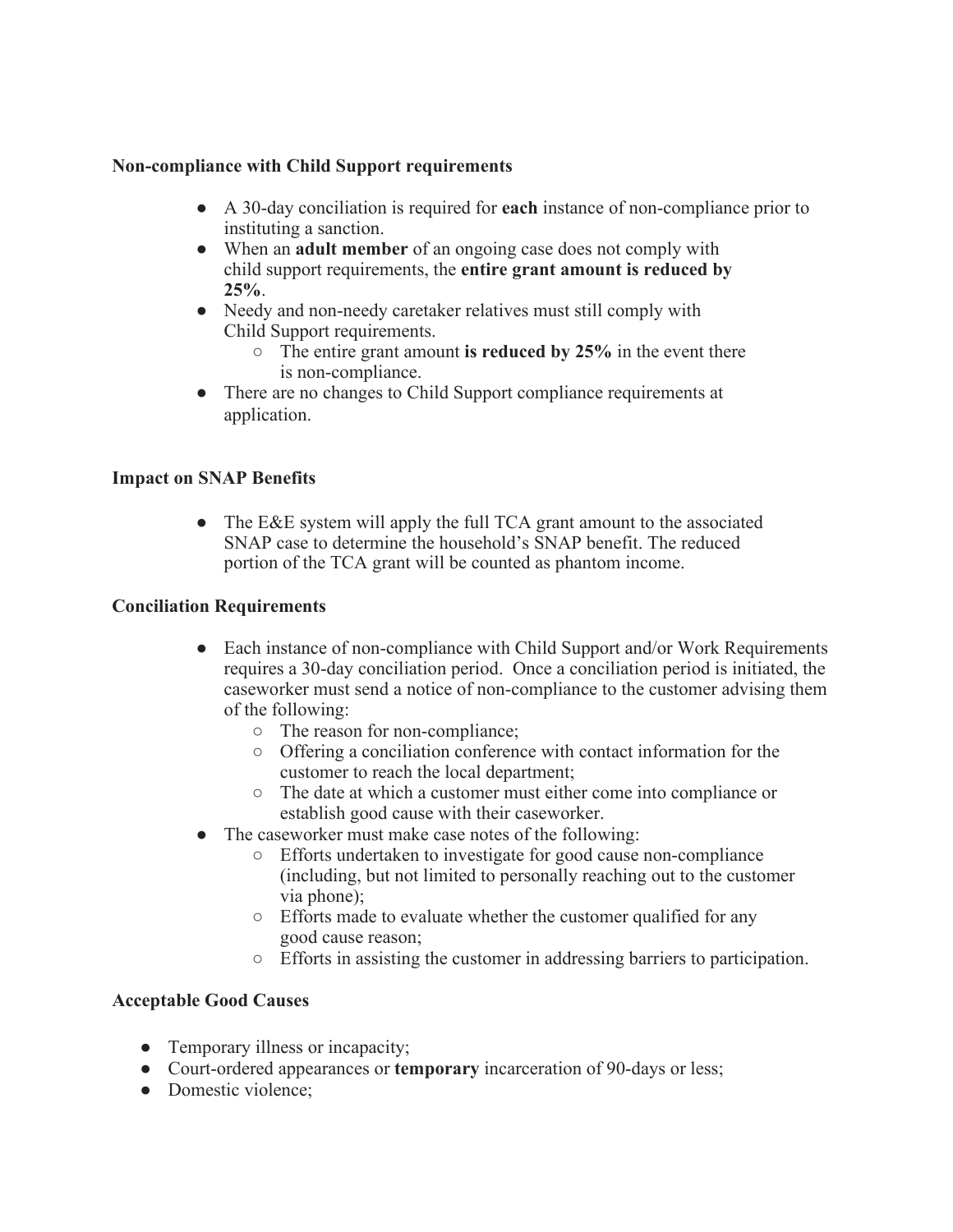## **Non-compliance with Child Support requirements**

- A 30-day conciliation is required for **each** instance of non-compliance prior to instituting a sanction.
- When an **adult member** of an ongoing case does not comply with child support requirements, the **entire grant amount is reduced by 25%**.
- Needy and non-needy caretaker relatives must still comply with Child Support requirements.
	- The entire grant amount **is reduced by 25%** in the event there is non-compliance.
- There are no changes to Child Support compliance requirements at application.

## **Impact on SNAP Benefits**

• The E&E system will apply the full TCA grant amount to the associated SNAP case to determine the household's SNAP benefit. The reduced portion of the TCA grant will be counted as phantom income.

#### **Conciliation Requirements**

- Each instance of non-compliance with Child Support and/or Work Requirements requires a 30-day conciliation period. Once a conciliation period is initiated, the caseworker must send a notice of non-compliance to the customer advising them of the following:
	- The reason for non-compliance;
	- Offering a conciliation conference with contact information for the customer to reach the local department;
	- The date at which a customer must either come into compliance or establish good cause with their caseworker.
- The caseworker must make case notes of the following:
	- Efforts undertaken to investigate for good cause non-compliance (including, but not limited to personally reaching out to the customer via phone);
	- Efforts made to evaluate whether the customer qualified for any good cause reason;
	- Efforts in assisting the customer in addressing barriers to participation.

## **Acceptable Good Causes**

- Temporary illness or incapacity;
- Court-ordered appearances or **temporary** incarceration of 90-days or less;
- Domestic violence;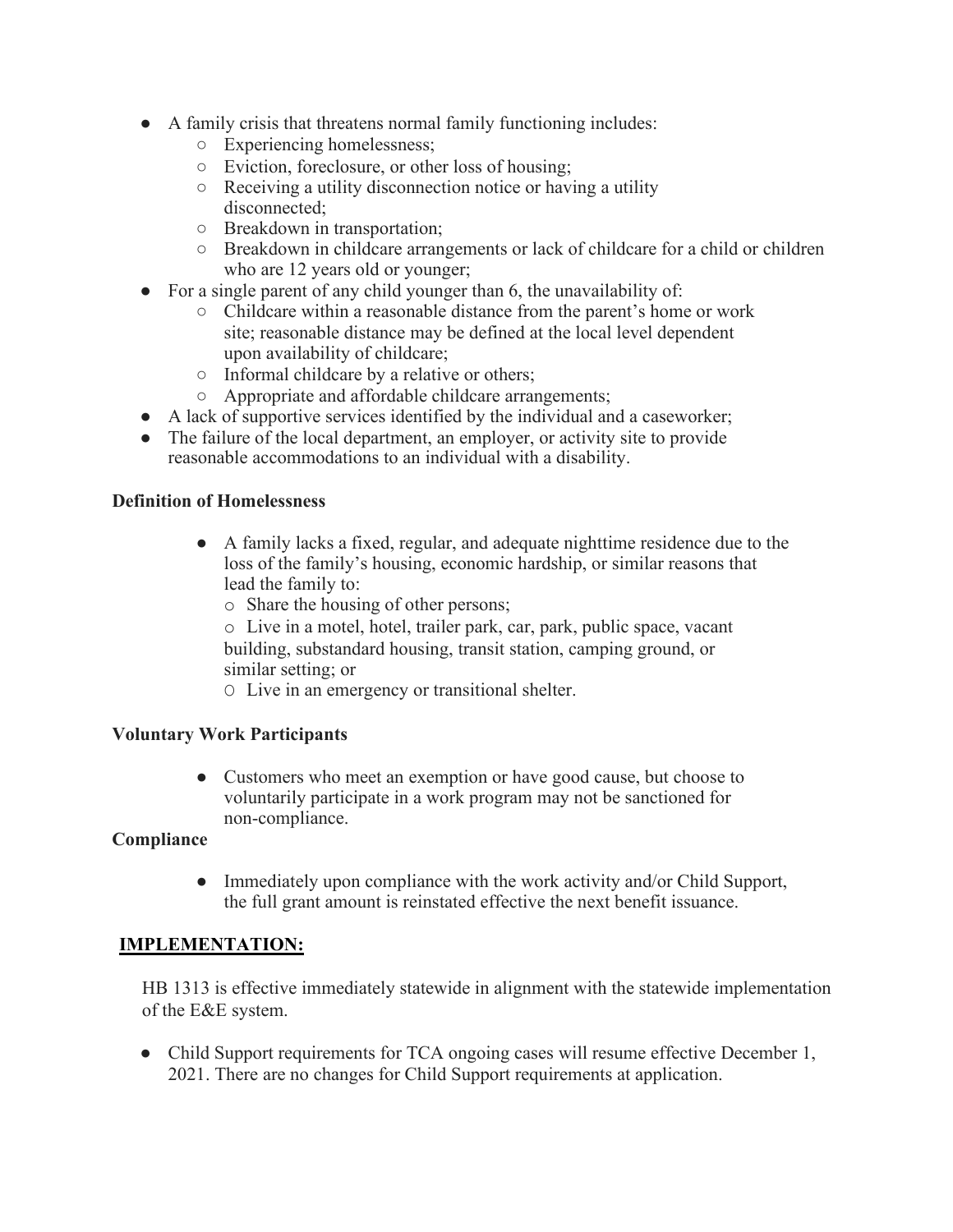- A family crisis that threatens normal family functioning includes:
	- Experiencing homelessness;
	- Eviction, foreclosure, or other loss of housing;
	- Receiving a utility disconnection notice or having a utility disconnected;
	- Breakdown in transportation;
	- Breakdown in childcare arrangements or lack of childcare for a child or children who are 12 years old or younger;
- For a single parent of any child younger than 6, the unavailability of:
	- Childcare within a reasonable distance from the parent's home or work site; reasonable distance may be defined at the local level dependent upon availability of childcare;
	- Informal childcare by a relative or others;
	- Appropriate and affordable childcare arrangements;
- A lack of supportive services identified by the individual and a caseworker;
- The failure of the local department, an employer, or activity site to provide reasonable accommodations to an individual with a disability.

## **Definition of Homelessness**

- A family lacks a fixed, regular, and adequate nighttime residence due to the loss of the family's housing, economic hardship, or similar reasons that lead the family to:
	- o Share the housing of other persons;
	- o Live in a motel, hotel, trailer park, car, park, public space, vacant building, substandard housing, transit station, camping ground, or similar setting; or
	- O Live in an emergency or transitional shelter.

#### **Voluntary Work Participants**

• Customers who meet an exemption or have good cause, but choose to voluntarily participate in a work program may not be sanctioned for non-compliance.

#### **Compliance**

• Immediately upon compliance with the work activity and/or Child Support, the full grant amount is reinstated effective the next benefit issuance.

#### **IMPLEMENTATION:**

HB 1313 is effective immediately statewide in alignment with the statewide implementation of the E&E system.

• Child Support requirements for TCA ongoing cases will resume effective December 1, 2021. There are no changes for Child Support requirements at application.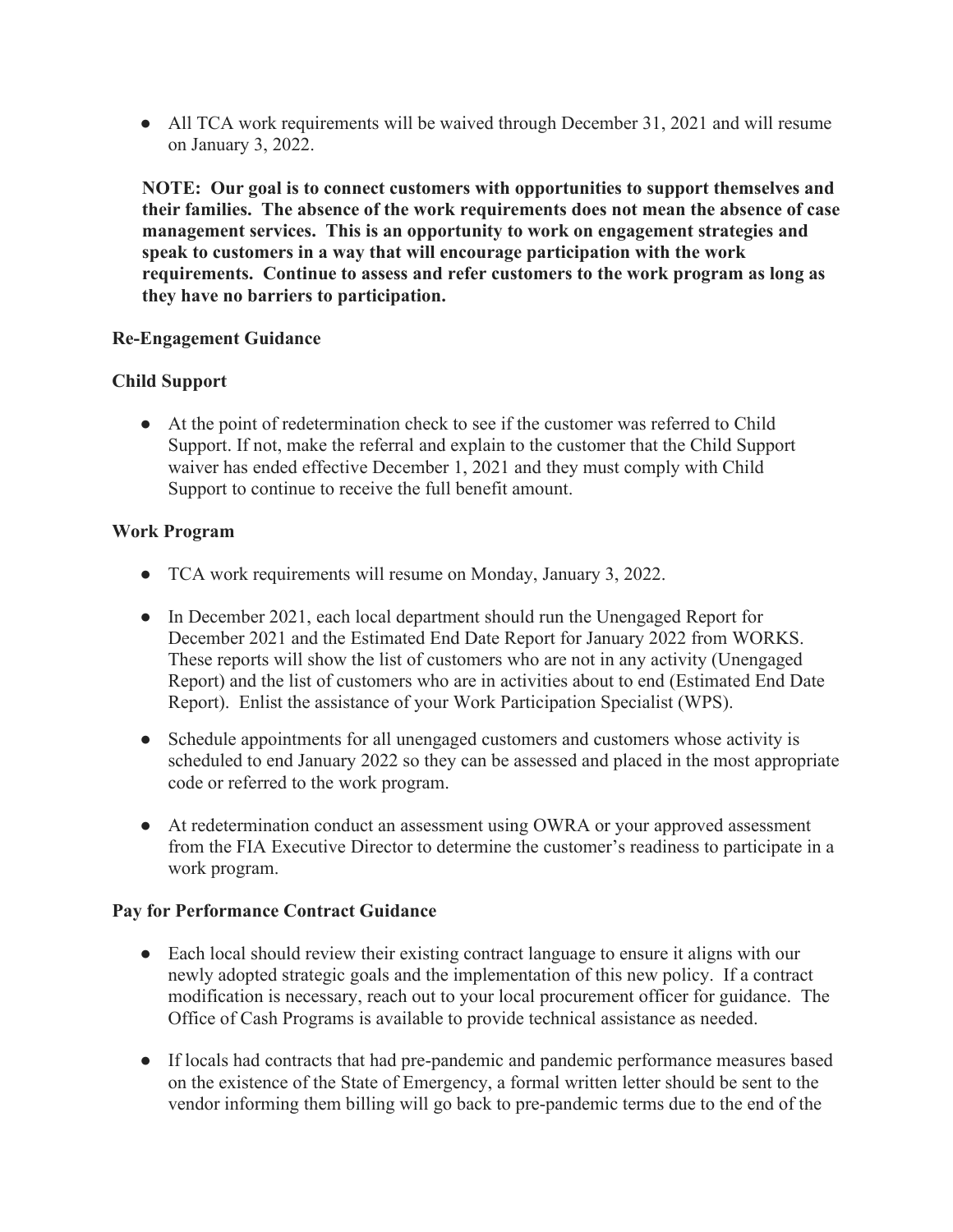• All TCA work requirements will be waived through December 31, 2021 and will resume on January 3, 2022.

**NOTE: Our goal is to connect customers with opportunities to support themselves and their families. The absence of the work requirements does not mean the absence of case management services. This is an opportunity to work on engagement strategies and speak to customers in a way that will encourage participation with the work requirements. Continue to assess and refer customers to the work program as long as they have no barriers to participation.** 

## **Re-Engagement Guidance**

## **Child Support**

● At the point of redetermination check to see if the customer was referred to Child Support. If not, make the referral and explain to the customer that the Child Support waiver has ended effective December 1, 2021 and they must comply with Child Support to continue to receive the full benefit amount.

## **Work Program**

- TCA work requirements will resume on Monday, January 3, 2022.
- In December 2021, each local department should run the Unengaged Report for December 2021 and the Estimated End Date Report for January 2022 from WORKS. These reports will show the list of customers who are not in any activity (Unengaged Report) and the list of customers who are in activities about to end (Estimated End Date Report). Enlist the assistance of your Work Participation Specialist (WPS).
- Schedule appointments for all unengaged customers and customers whose activity is scheduled to end January 2022 so they can be assessed and placed in the most appropriate code or referred to the work program.
- At redetermination conduct an assessment using OWRA or your approved assessment from the FIA Executive Director to determine the customer's readiness to participate in a work program.

#### **Pay for Performance Contract Guidance**

- Each local should review their existing contract language to ensure it aligns with our newly adopted strategic goals and the implementation of this new policy. If a contract modification is necessary, reach out to your local procurement officer for guidance. The Office of Cash Programs is available to provide technical assistance as needed.
- If locals had contracts that had pre-pandemic and pandemic performance measures based on the existence of the State of Emergency, a formal written letter should be sent to the vendor informing them billing will go back to pre-pandemic terms due to the end of the